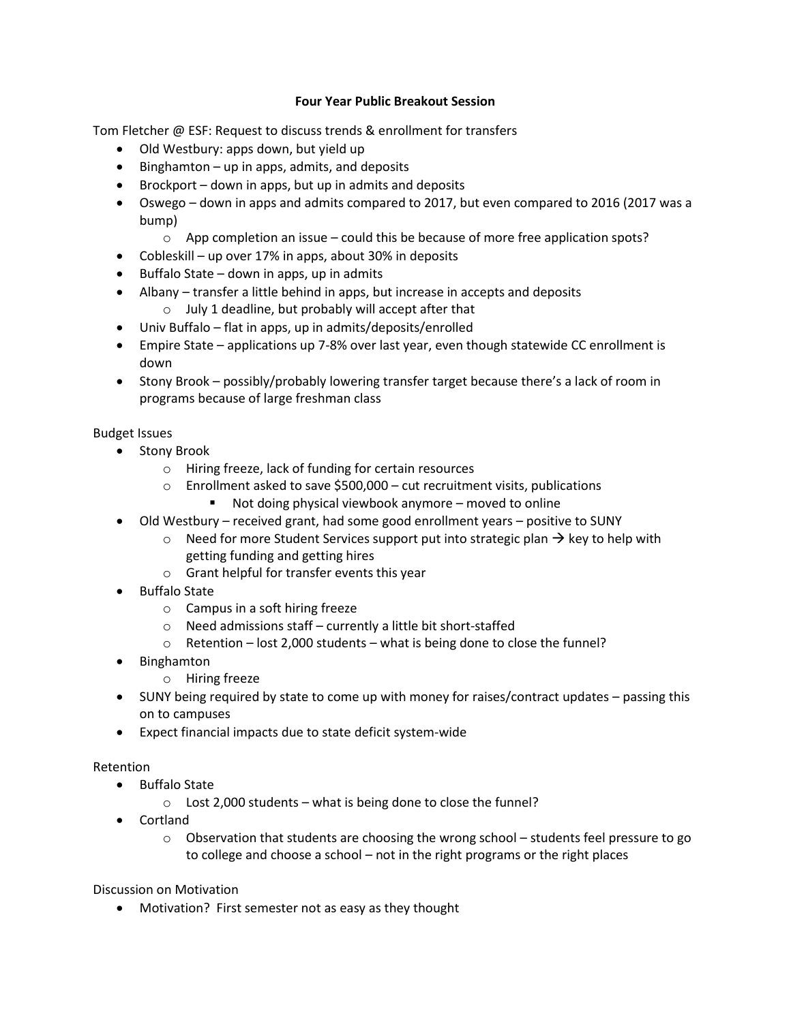## **Four Year Public Breakout Session**

Tom Fletcher @ ESF: Request to discuss trends & enrollment for transfers

- Old Westbury: apps down, but yield up
- $\bullet$  Binghamton up in apps, admits, and deposits
- Brockport down in apps, but up in admits and deposits
- Oswego down in apps and admits compared to 2017, but even compared to 2016 (2017 was a bump)
	- $\circ$  App completion an issue could this be because of more free application spots?
- Cobleskill up over 17% in apps, about 30% in deposits
- $\bullet$  Buffalo State down in apps, up in admits
- Albany transfer a little behind in apps, but increase in accepts and deposits
	- o July 1 deadline, but probably will accept after that
- Univ Buffalo flat in apps, up in admits/deposits/enrolled
- Empire State applications up 7-8% over last year, even though statewide CC enrollment is down
- Stony Brook possibly/probably lowering transfer target because there's a lack of room in programs because of large freshman class

## Budget Issues

- Stony Brook
	- o Hiring freeze, lack of funding for certain resources
	- o Enrollment asked to save \$500,000 cut recruitment visits, publications
		- Not doing physical viewbook anymore moved to online
- Old Westbury received grant, had some good enrollment years positive to SUNY
	- $\circ$  Need for more Student Services support put into strategic plan  $\rightarrow$  key to help with getting funding and getting hires
	- o Grant helpful for transfer events this year
- Buffalo State
	- o Campus in a soft hiring freeze
	- o Need admissions staff currently a little bit short-staffed
	- o Retention lost 2,000 students what is being done to close the funnel?
- Binghamton
	- o Hiring freeze
- SUNY being required by state to come up with money for raises/contract updates passing this on to campuses
- Expect financial impacts due to state deficit system-wide

## Retention

- Buffalo State
	- $\circ$  Lost 2,000 students what is being done to close the funnel?
- Cortland
	- $\circ$  Observation that students are choosing the wrong school students feel pressure to go to college and choose a school – not in the right programs or the right places

Discussion on Motivation

Motivation? First semester not as easy as they thought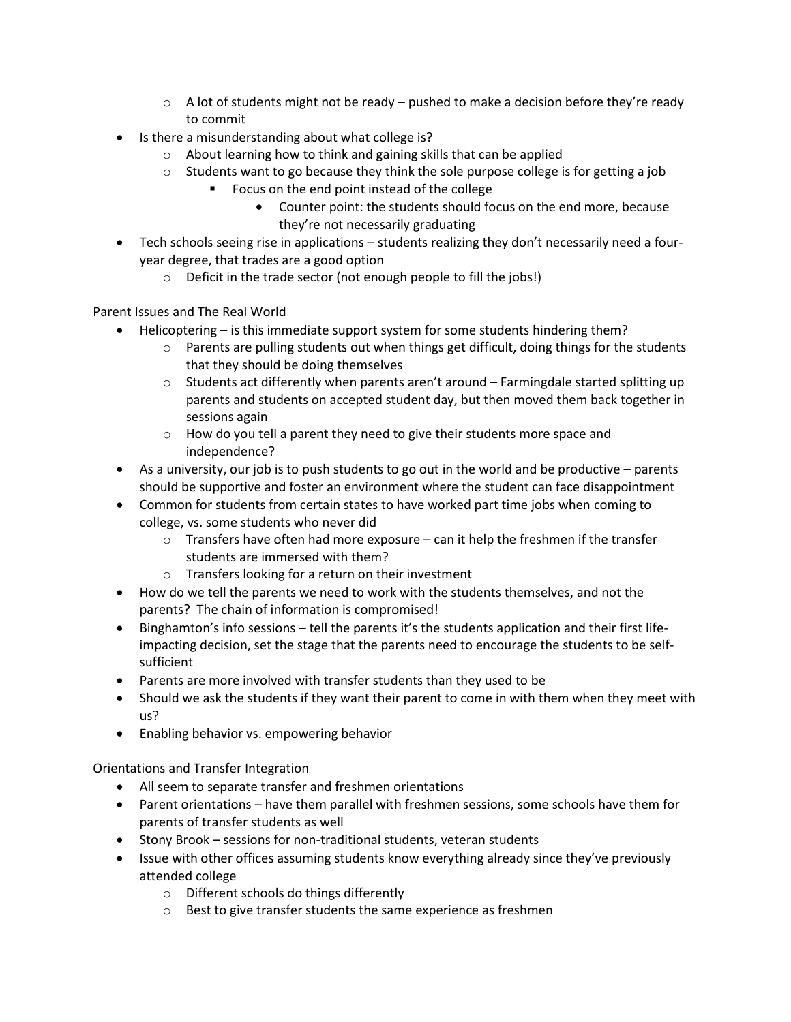- $\circ$  A lot of students might not be ready pushed to make a decision before they're ready to commit
- Is there a misunderstanding about what college is?
	- o About learning how to think and gaining skills that can be applied
	- $\circ$  Students want to go because they think the sole purpose college is for getting a job
		- Focus on the end point instead of the college
			- Counter point: the students should focus on the end more, because they're not necessarily graduating
- Tech schools seeing rise in applications students realizing they don't necessarily need a fouryear degree, that trades are a good option
	- o Deficit in the trade sector (not enough people to fill the jobs!)

Parent Issues and The Real World

- Helicoptering is this immediate support system for some students hindering them?
	- $\circ$  Parents are pulling students out when things get difficult, doing things for the students that they should be doing themselves
	- o Students act differently when parents aren't around Farmingdale started splitting up parents and students on accepted student day, but then moved them back together in sessions again
	- o How do you tell a parent they need to give their students more space and independence?
- $\bullet$  As a university, our job is to push students to go out in the world and be productive parents should be supportive and foster an environment where the student can face disappointment
- Common for students from certain states to have worked part time jobs when coming to college, vs. some students who never did
	- $\circ$  Transfers have often had more exposure can it help the freshmen if the transfer students are immersed with them?
	- o Transfers looking for a return on their investment
- How do we tell the parents we need to work with the students themselves, and not the parents? The chain of information is compromised!
- Binghamton's info sessions tell the parents it's the students application and their first lifeimpacting decision, set the stage that the parents need to encourage the students to be selfsufficient
- Parents are more involved with transfer students than they used to be
- Should we ask the students if they want their parent to come in with them when they meet with us?
- Enabling behavior vs. empowering behavior

Orientations and Transfer Integration

- All seem to separate transfer and freshmen orientations
- Parent orientations have them parallel with freshmen sessions, some schools have them for parents of transfer students as well
- Stony Brook sessions for non-traditional students, veteran students
- Issue with other offices assuming students know everything already since they've previously attended college
	- o Different schools do things differently
	- o Best to give transfer students the same experience as freshmen